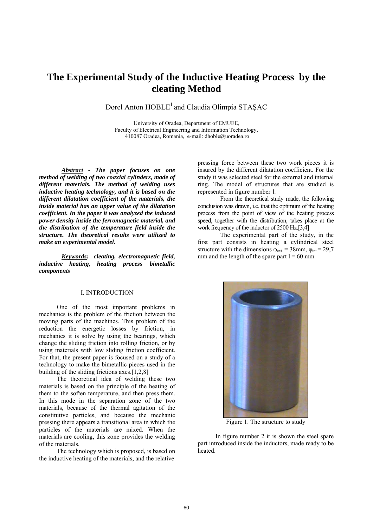# **The Experimental Study of the Inductive Heating Process by the cleating Method**

Dorel Anton HOBLE<sup>1</sup> and Claudia Olimpia STASAC

University of Oradea, Department of EMUEE, Faculty of Electrical Engineering and Information Technology, 410087 Oradea, Romania, e-mail: dhoble@uoradea.ro

*Abstract - The paper focuses on one method of welding of two coaxial cylinders, made of different materials. The method of welding uses inductive heating technology, and it is based on the different dilatation coefficient of the materials, the inside material has an upper value of the dilatation coefficient. In the paper it was analyzed the induced power density inside the ferromagnetic material, and the distribution of the temperature field inside the structure. The theoretical results were utilized to make an experimental model.* 

*Keywords: cleating, electromagnetic field, inductive heating, heating process bimetallic components* 

#### I. INTRODUCTION

One of the most important problems in mechanics is the problem of the friction between the moving parts of the machines. This problem of the reduction the energetic losses by friction, in mechanics it is solve by using the bearings, which change the sliding friction into rolling friction, or by using materials with low sliding friction coefficient. For that, the present paper is focused on a study of a technology to make the bimetallic pieces used in the building of the sliding frictions axes.[1,2,8]

The theoretical idea of welding these two materials is based on the principle of the heating of them to the soften temperature, and then press them. In this mode in the separation zone of the two materials, because of the thermal agitation of the constitutive particles, and because the mechanic pressing there appears a transitional area in which the particles of the materials are mixed. When the materials are cooling, this zone provides the welding of the materials.

The technology which is proposed, is based on the inductive heating of the materials, and the relative

pressing force between these two work pieces it is insured by the different dilatation coefficient. For the study it was selected steel for the external and internal ring. The model of structures that are studied is represented in figure number 1.

From the theoretical study made, the following conclusion was drawn, i.e. that the optimum of the heating process from the point of view of the heating process speed, together with the distribution, takes place at the work frequency of the inductor of 2500 Hz.[3,4]

The experimental part of the study, in the first part consists in heating a cylindrical steel structure with the dimensions  $\varphi_{ext} = 38$ mm,  $\varphi_{int} = 29.7$ mm and the length of the spare part  $l = 60$  mm.



Figure 1. The structure to study

In figure number 2 it is shown the steel spare part introduced inside the inductors, made ready to be heated.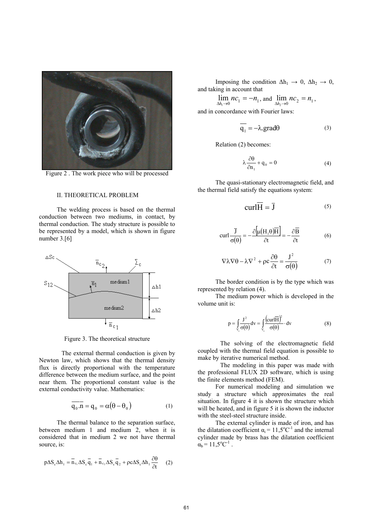

Figure 2 . The work piece who will be processed

#### II. THEORETICAL PROBLEM

The welding process is based on the thermal conduction between two mediums, in contact, by thermal conduction. The study structure is possible to be represented by a model, which is shown in figure number 3.[6]



Figure 3. The theoretical structure

The external thermal conduction is given by Newton law, which shows that the thermal density flux is directly proportional with the temperature difference between the medium surface, and the point near them. The proportional constant value is the external conductivity value. Mathematics:

$$
\mathbf{q}_0.\mathbf{n} = \mathbf{q}_0 = \alpha(\theta - \theta_0) \tag{1}
$$

The thermal balance to the separation surface, between medium 1 and medium 2, when it is considered that in medium 2 we not have thermal source, is:

$$
p\Delta S_c \Delta h_1 = \overline{n}_{c_1} \Delta S_c \overline{q}_1 + \overline{n}_{c_2} \Delta S_c \overline{q}_2 + \rho c \Delta S_c \Delta h_1 \frac{\partial \theta}{\partial t} \qquad (2)
$$

Imposing the condition  $\Delta h_1 \rightarrow 0$ ,  $\Delta h_2 \rightarrow 0$ , and taking in account that

$$
\lim_{\Delta h_1 \to 0} n c_1 = -n_1, \text{ and } \lim_{\Delta h_2 \to 0} n c_2 = n_1,
$$

and in concordance with Fourier laws:

$$
\overline{q_1} = -\lambda \text{.grad}\theta \tag{3}
$$

Relation (2) becomes:

$$
\lambda \frac{\partial \theta}{\partial n_1} + q_0 = 0 \tag{4}
$$

The quasi-stationary electromagnetic field, and the thermal field satisfy the equations system:

$$
\text{curl}\overline{H} = \overline{J} \tag{5}
$$

$$
\operatorname{curl} \frac{\overline{\mathbf{J}}}{\sigma(\theta)} = -\frac{\partial \left[ \mu(\mathbf{H}_1 \theta) \overline{\mathbf{H}} \right]}{\partial t} = -\frac{\partial \overline{\mathbf{B}}}{\partial t}
$$
(6)

$$
\nabla \lambda \nabla \theta - \lambda \nabla^2 + \rho c \frac{\partial \theta}{\partial t} = \frac{J^2}{\sigma(\theta)} \tag{7}
$$

The border condition is by the type which was represented by relation (4).

The medium power which is developed in the volume unit is:

$$
p = \int_{V_e} \frac{J^2}{\sigma(\theta)} dv = \int_{V_e} \frac{\left(\text{curl}\overline{H}\right)^2}{\sigma(\theta)} \cdot dv \tag{8}
$$

 The solving of the electromagnetic field coupled with the thermal field equation is possible to make by iterative numerical method.

 The modeling in this paper was made with the professional FLUX 2D software, which is using the finite elements method (FEM).

For numerical modeling and simulation we study a structure which approximates the real situation. In figure 4 it is shown the structure which will be heated, and in figure 5 it is shown the inductor with the steel-steel structure inside.

The external cylinder is made of iron, and has the dilatation coefficient  $\alpha_i = 11,5$ °C<sup>-1</sup> and the internal cylinder made by brass has the dilatation coefficient  $\alpha_b = 11,5^{\circ}C^{-1}$ .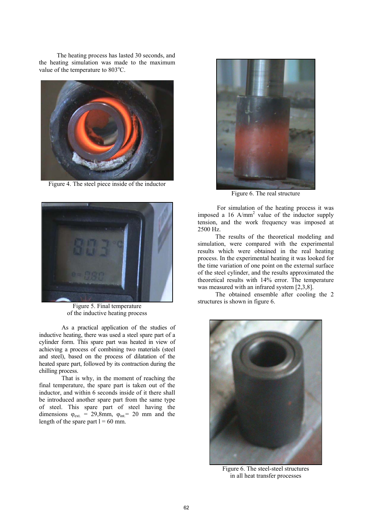The heating process has lasted 30 seconds, and the heating simulation was made to the maximum value of the temperature to 803°C.



Figure 4. The steel piece inside of the inductor



Figure 5. Final temperature of the inductive heating process

As a practical application of the studies of inductive heating, there was used a steel spare part of a cylinder form. This spare part was heated in view of achieving a process of combining two materials (steel and steel), based on the process of dilatation of the heated spare part, followed by its contraction during the chilling process.

That is why, in the moment of reaching the final temperature, the spare part is taken out of the inductor, and within 6 seconds inside of it there shall be introduced another spare part from the same type of steel. This spare part of steel having the dimensions  $\varphi_{ext.} = 29,8$ mm,  $\varphi_{int.} = 20$  mm and the length of the spare part  $l = 60$  mm.



Figure 6. The real structure

 For simulation of the heating process it was imposed a 16 A/mm2 value of the inductor supply tension, and the work frequency was imposed at 2500 Hz.

The results of the theoretical modeling and simulation, were compared with the experimental results which were obtained in the real heating process. In the experimental heating it was looked for the time variation of one point on the external surface of the steel cylinder, and the results approximated the theoretical results with 14% error. The temperature was measured with an infrared system [2,3,8].

The obtained ensemble after cooling the 2 structures is shown in figure 6.



Figure 6. The steel-steel structures in all heat transfer processes